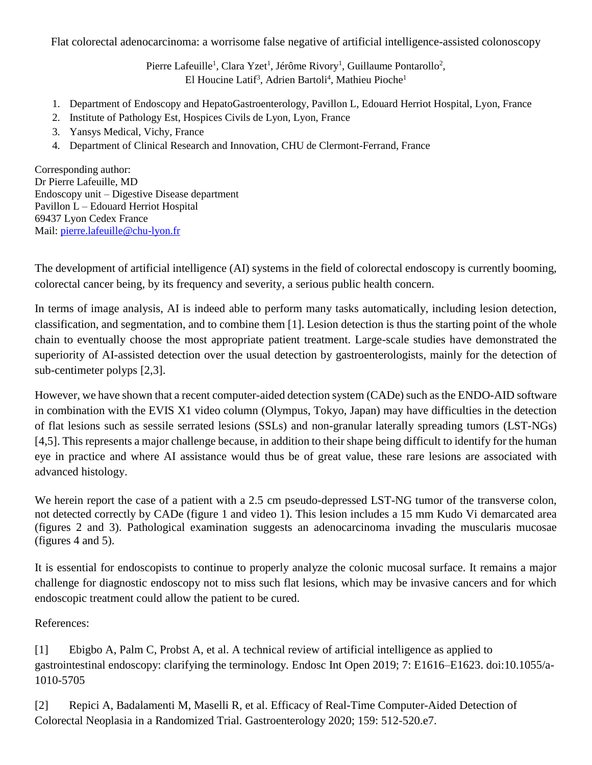Flat colorectal adenocarcinoma: a worrisome false negative of artificial intelligence-assisted colonoscopy

Pierre Lafeuille<sup>1</sup>, Clara Yzet<sup>1</sup>, Jérôme Rivory<sup>1</sup>, Guillaume Pontarollo<sup>2</sup>, El Houcine Latif<sup>3</sup>, Adrien Bartoli<sup>4</sup>, Mathieu Pioche<sup>1</sup>

- 1. Department of Endoscopy and HepatoGastroenterology, Pavillon L, Edouard Herriot Hospital, Lyon, France
- 2. Institute of Pathology Est, Hospices Civils de Lyon, Lyon, France
- 3. Yansys Medical, Vichy, France
- 4. Department of Clinical Research and Innovation, CHU de Clermont-Ferrand, France

Corresponding author: Dr Pierre Lafeuille, MD Endoscopy unit – Digestive Disease department Pavillon L – Edouard Herriot Hospital 69437 Lyon Cedex France Mail: [pierre.lafeuille@chu-lyon.fr](mailto:pierre.lafeuille@chu-lyon.fr)

The development of artificial intelligence (AI) systems in the field of colorectal endoscopy is currently booming, colorectal cancer being, by its frequency and severity, a serious public health concern.

In terms of image analysis, AI is indeed able to perform many tasks automatically, including lesion detection, classification, and segmentation, and to combine them [1]. Lesion detection is thus the starting point of the whole chain to eventually choose the most appropriate patient treatment. Large-scale studies have demonstrated the superiority of AI-assisted detection over the usual detection by gastroenterologists, mainly for the detection of sub-centimeter polyps [2,3].

However, we have shown that a recent computer-aided detection system (CADe) such as the ENDO-AID software in combination with the EVIS X1 video column (Olympus, Tokyo, Japan) may have difficulties in the detection of flat lesions such as sessile serrated lesions (SSLs) and non-granular laterally spreading tumors (LST-NGs) [4,5]. This represents a major challenge because, in addition to their shape being difficult to identify for the human eye in practice and where AI assistance would thus be of great value, these rare lesions are associated with advanced histology.

We herein report the case of a patient with a 2.5 cm pseudo-depressed LST-NG tumor of the transverse colon, not detected correctly by CADe (figure 1 and video 1). This lesion includes a 15 mm Kudo Vi demarcated area (figures 2 and 3). Pathological examination suggests an adenocarcinoma invading the muscularis mucosae (figures 4 and 5).

It is essential for endoscopists to continue to properly analyze the colonic mucosal surface. It remains a major challenge for diagnostic endoscopy not to miss such flat lesions, which may be invasive cancers and for which endoscopic treatment could allow the patient to be cured.

References:

[1] Ebigbo A, Palm C, Probst A, et al. A technical review of artificial intelligence as applied to gastrointestinal endoscopy: clarifying the terminology. Endosc Int Open 2019; 7: E1616–E1623. doi:10.1055/a-1010-5705

[2] Repici A, Badalamenti M, Maselli R, et al. Efficacy of Real-Time Computer-Aided Detection of Colorectal Neoplasia in a Randomized Trial. Gastroenterology 2020; 159: 512-520.e7.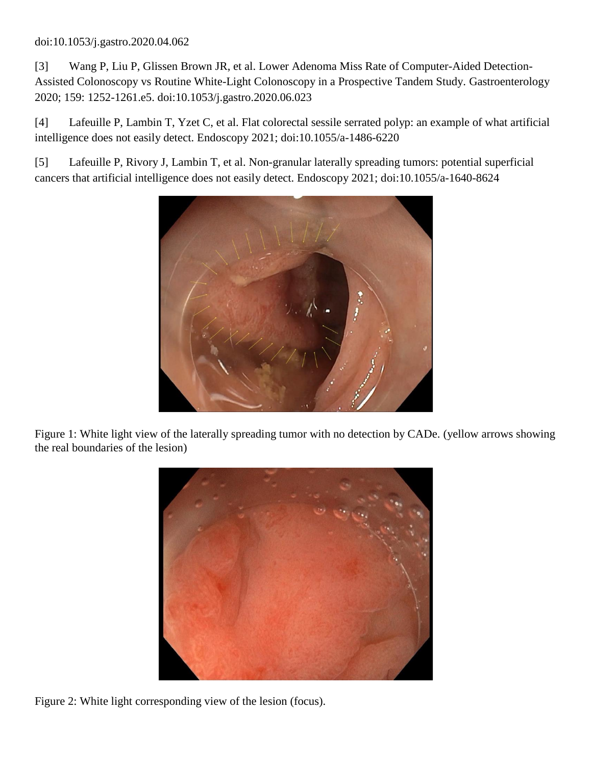## doi:10.1053/j.gastro.2020.04.062

[3] Wang P, Liu P, Glissen Brown JR, et al. Lower Adenoma Miss Rate of Computer-Aided Detection-Assisted Colonoscopy vs Routine White-Light Colonoscopy in a Prospective Tandem Study. Gastroenterology 2020; 159: 1252-1261.e5. doi:10.1053/j.gastro.2020.06.023

[4] Lafeuille P, Lambin T, Yzet C, et al. Flat colorectal sessile serrated polyp: an example of what artificial intelligence does not easily detect. Endoscopy 2021; doi:10.1055/a-1486-6220

[5] Lafeuille P, Rivory J, Lambin T, et al. Non-granular laterally spreading tumors: potential superficial cancers that artificial intelligence does not easily detect. Endoscopy 2021; doi:10.1055/a-1640-8624



Figure 1: White light view of the laterally spreading tumor with no detection by CADe. (yellow arrows showing the real boundaries of the lesion)



Figure 2: White light corresponding view of the lesion (focus).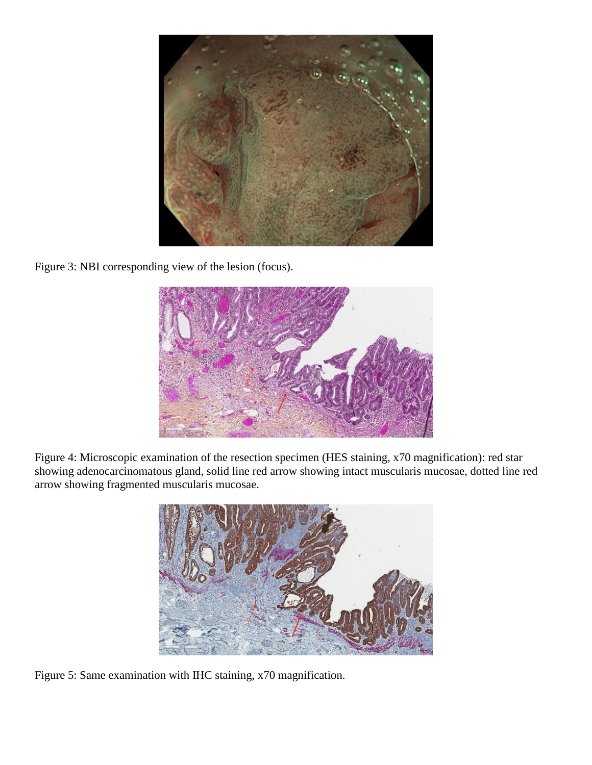

Figure 3: NBI corresponding view of the lesion (focus).



Figure 4: Microscopic examination of the resection specimen (HES staining, x70 magnification): red star showing adenocarcinomatous gland, solid line red arrow showing intact muscularis mucosae, dotted line red arrow showing fragmented muscularis mucosae.



Figure 5: Same examination with IHC staining, x70 magnification.